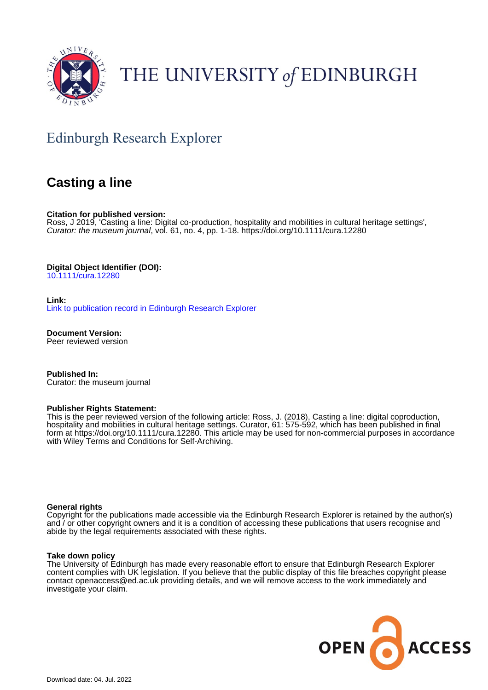

# THE UNIVERSITY of EDINBURGH

# Edinburgh Research Explorer

# **Casting a line**

**Citation for published version:**

Ross, J 2019, 'Casting a line: Digital co-production, hospitality and mobilities in cultural heritage settings', Curator: the museum journal, vol. 61, no. 4, pp. 1-18.<https://doi.org/10.1111/cura.12280>

**Digital Object Identifier (DOI):**

[10.1111/cura.12280](https://doi.org/10.1111/cura.12280)

**Link:**

[Link to publication record in Edinburgh Research Explorer](https://www.research.ed.ac.uk/en/publications/3f15b594-1525-4348-b707-1de8788d64ac)

**Document Version:** Peer reviewed version

**Published In:** Curator: the museum journal

#### **Publisher Rights Statement:**

This is the peer reviewed version of the following article: Ross, J. (2018), Casting a line: digital coproduction, hospitality and mobilities in cultural heritage settings. Curator, 61: 575-592, which has been published in final form at https://doi.org/10.1111/cura.12280. This article may be used for non-commercial purposes in accordance with Wiley Terms and Conditions for Self-Archiving.

#### **General rights**

Copyright for the publications made accessible via the Edinburgh Research Explorer is retained by the author(s) and / or other copyright owners and it is a condition of accessing these publications that users recognise and abide by the legal requirements associated with these rights.

#### **Take down policy**

The University of Edinburgh has made every reasonable effort to ensure that Edinburgh Research Explorer content complies with UK legislation. If you believe that the public display of this file breaches copyright please contact openaccess@ed.ac.uk providing details, and we will remove access to the work immediately and investigate your claim.

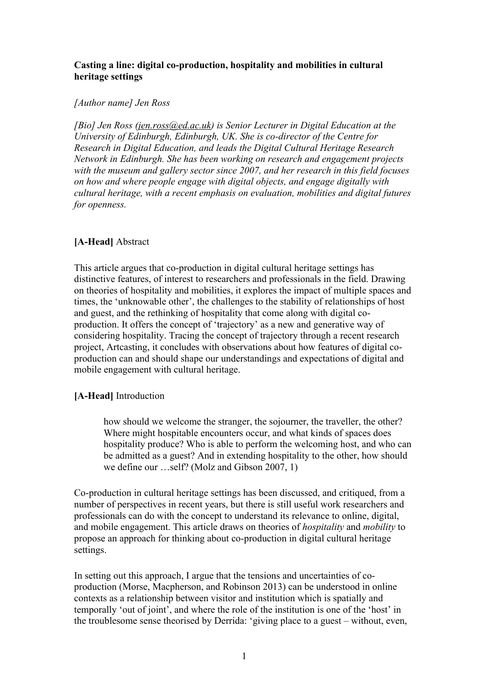#### **Casting a line: digital co-production, hospitality and mobilities in cultural heritage settings**

#### *[Author name] Jen Ross*

*[Bio] Jen Ross (jen.ross@ed.ac.uk) is Senior Lecturer in Digital Education at the University of Edinburgh, Edinburgh, UK. She is co-director of the Centre for Research in Digital Education, and leads the Digital Cultural Heritage Research Network in Edinburgh. She has been working on research and engagement projects with the museum and gallery sector since 2007, and her research in this field focuses on how and where people engage with digital objects, and engage digitally with cultural heritage, with a recent emphasis on evaluation, mobilities and digital futures for openness.*

#### **[A-Head]** Abstract

This article argues that co-production in digital cultural heritage settings has distinctive features, of interest to researchers and professionals in the field. Drawing on theories of hospitality and mobilities, it explores the impact of multiple spaces and times, the 'unknowable other', the challenges to the stability of relationships of host and guest, and the rethinking of hospitality that come along with digital coproduction. It offers the concept of 'trajectory' as a new and generative way of considering hospitality. Tracing the concept of trajectory through a recent research project, Artcasting, it concludes with observations about how features of digital coproduction can and should shape our understandings and expectations of digital and mobile engagement with cultural heritage.

#### **[A-Head]** Introduction

how should we welcome the stranger, the sojourner, the traveller, the other? Where might hospitable encounters occur, and what kinds of spaces does hospitality produce? Who is able to perform the welcoming host, and who can be admitted as a guest? And in extending hospitality to the other, how should we define our …self? (Molz and Gibson 2007, 1)

Co-production in cultural heritage settings has been discussed, and critiqued, from a number of perspectives in recent years, but there is still useful work researchers and professionals can do with the concept to understand its relevance to online, digital, and mobile engagement. This article draws on theories of *hospitality* and *mobility* to propose an approach for thinking about co-production in digital cultural heritage settings.

In setting out this approach, I argue that the tensions and uncertainties of coproduction (Morse, Macpherson, and Robinson 2013) can be understood in online contexts as a relationship between visitor and institution which is spatially and temporally 'out of joint', and where the role of the institution is one of the 'host' in the troublesome sense theorised by Derrida: 'giving place to a guest – without, even,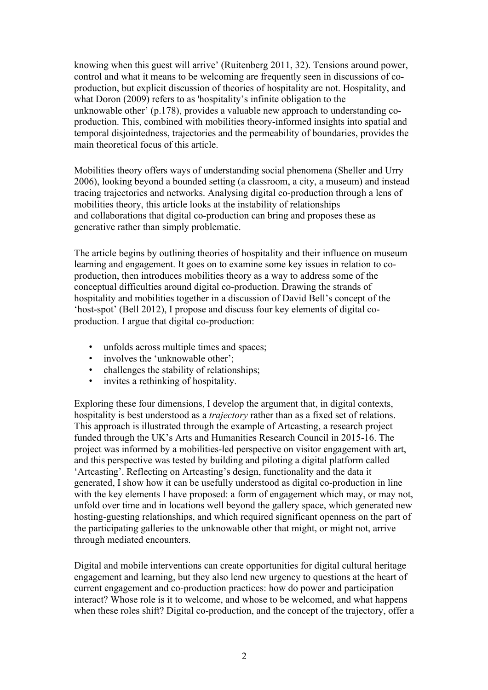knowing when this guest will arrive' (Ruitenberg 2011, 32). Tensions around power, control and what it means to be welcoming are frequently seen in discussions of coproduction, but explicit discussion of theories of hospitality are not. Hospitality, and what Doron (2009) refers to as 'hospitality's infinite obligation to the unknowable other' (p.178), provides a valuable new approach to understanding coproduction. This, combined with mobilities theory-informed insights into spatial and temporal disjointedness, trajectories and the permeability of boundaries, provides the main theoretical focus of this article.

Mobilities theory offers ways of understanding social phenomena (Sheller and Urry 2006), looking beyond a bounded setting (a classroom, a city, a museum) and instead tracing trajectories and networks. Analysing digital co-production through a lens of mobilities theory, this article looks at the instability of relationships and collaborations that digital co-production can bring and proposes these as generative rather than simply problematic.

The article begins by outlining theories of hospitality and their influence on museum learning and engagement. It goes on to examine some key issues in relation to coproduction, then introduces mobilities theory as a way to address some of the conceptual difficulties around digital co-production. Drawing the strands of hospitality and mobilities together in a discussion of David Bell's concept of the 'host-spot' (Bell 2012), I propose and discuss four key elements of digital coproduction. I argue that digital co-production:

- unfolds across multiple times and spaces;
- involves the 'unknowable other':
- challenges the stability of relationships;
- invites a rethinking of hospitality.

Exploring these four dimensions, I develop the argument that, in digital contexts, hospitality is best understood as a *trajectory* rather than as a fixed set of relations. This approach is illustrated through the example of Artcasting, a research project funded through the UK's Arts and Humanities Research Council in 2015-16. The project was informed by a mobilities-led perspective on visitor engagement with art, and this perspective was tested by building and piloting a digital platform called 'Artcasting'. Reflecting on Artcasting's design, functionality and the data it generated, I show how it can be usefully understood as digital co-production in line with the key elements I have proposed: a form of engagement which may, or may not, unfold over time and in locations well beyond the gallery space, which generated new hosting-guesting relationships, and which required significant openness on the part of the participating galleries to the unknowable other that might, or might not, arrive through mediated encounters.

Digital and mobile interventions can create opportunities for digital cultural heritage engagement and learning, but they also lend new urgency to questions at the heart of current engagement and co-production practices: how do power and participation interact? Whose role is it to welcome, and whose to be welcomed, and what happens when these roles shift? Digital co-production, and the concept of the trajectory, offer a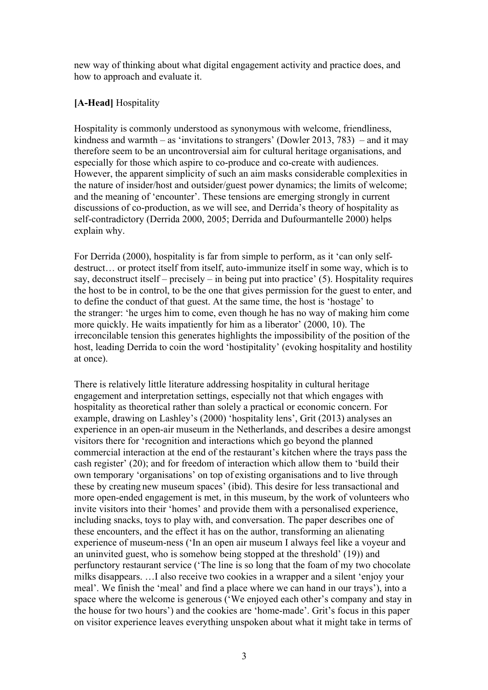new way of thinking about what digital engagement activity and practice does, and how to approach and evaluate it.

#### **[A-Head]** Hospitality

Hospitality is commonly understood as synonymous with welcome, friendliness, kindness and warmth – as 'invitations to strangers' (Dowler 2013, 783) – and it may therefore seem to be an uncontroversial aim for cultural heritage organisations, and especially for those which aspire to co-produce and co-create with audiences. However, the apparent simplicity of such an aim masks considerable complexities in the nature of insider/host and outsider/guest power dynamics; the limits of welcome; and the meaning of 'encounter'. These tensions are emerging strongly in current discussions of co-production, as we will see, and Derrida's theory of hospitality as self-contradictory (Derrida 2000, 2005; Derrida and Dufourmantelle 2000) helps explain why.

For Derrida (2000), hospitality is far from simple to perform, as it 'can only selfdestruct… or protect itself from itself, auto-immunize itself in some way, which is to say, deconstruct itself – precisely – in being put into practice' (5). Hospitality requires the host to be in control, to be the one that gives permission for the guest to enter, and to define the conduct of that guest. At the same time, the host is 'hostage' to the stranger: 'he urges him to come, even though he has no way of making him come more quickly. He waits impatiently for him as a liberator' (2000, 10). The irreconcilable tension this generates highlights the impossibility of the position of the host, leading Derrida to coin the word 'hostipitality' (evoking hospitality and hostility at once).

There is relatively little literature addressing hospitality in cultural heritage engagement and interpretation settings, especially not that which engages with hospitality as theoretical rather than solely a practical or economic concern. For example, drawing on Lashley's (2000) 'hospitality lens', Grit (2013) analyses an experience in an open-air museum in the Netherlands, and describes a desire amongst visitors there for 'recognition and interactions which go beyond the planned commercial interaction at the end of the restaurant's kitchen where the trays pass the cash register' (20); and for freedom of interaction which allow them to 'build their own temporary 'organisations' on top of existing organisations and to live through these by creating new museum spaces' (ibid). This desire for less transactional and more open-ended engagement is met, in this museum, by the work of volunteers who invite visitors into their 'homes' and provide them with a personalised experience, including snacks, toys to play with, and conversation. The paper describes one of these encounters, and the effect it has on the author, transforming an alienating experience of museum-ness ('In an open air museum I always feel like a voyeur and an uninvited guest, who is somehow being stopped at the threshold' (19)) and perfunctory restaurant service ('The line is so long that the foam of my two chocolate milks disappears. …I also receive two cookies in a wrapper and a silent 'enjoy your meal'. We finish the 'meal' and find a place where we can hand in our trays'), into a space where the welcome is generous ('We enjoyed each other's company and stay in the house for two hours') and the cookies are 'home-made'. Grit's focus in this paper on visitor experience leaves everything unspoken about what it might take in terms of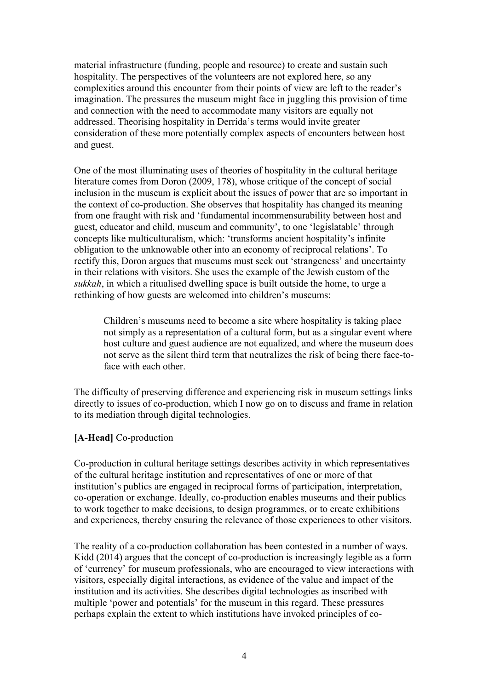material infrastructure (funding, people and resource) to create and sustain such hospitality. The perspectives of the volunteers are not explored here, so any complexities around this encounter from their points of view are left to the reader's imagination. The pressures the museum might face in juggling this provision of time and connection with the need to accommodate many visitors are equally not addressed. Theorising hospitality in Derrida's terms would invite greater consideration of these more potentially complex aspects of encounters between host and guest.

One of the most illuminating uses of theories of hospitality in the cultural heritage literature comes from Doron (2009, 178), whose critique of the concept of social inclusion in the museum is explicit about the issues of power that are so important in the context of co-production. She observes that hospitality has changed its meaning from one fraught with risk and 'fundamental incommensurability between host and guest, educator and child, museum and community', to one 'legislatable' through concepts like multiculturalism, which: 'transforms ancient hospitality's infinite obligation to the unknowable other into an economy of reciprocal relations'. To rectify this, Doron argues that museums must seek out 'strangeness' and uncertainty in their relations with visitors. She uses the example of the Jewish custom of the *sukkah*, in which a ritualised dwelling space is built outside the home, to urge a rethinking of how guests are welcomed into children's museums:

Children's museums need to become a site where hospitality is taking place not simply as a representation of a cultural form, but as a singular event where host culture and guest audience are not equalized, and where the museum does not serve as the silent third term that neutralizes the risk of being there face-toface with each other.

The difficulty of preserving difference and experiencing risk in museum settings links directly to issues of co-production, which I now go on to discuss and frame in relation to its mediation through digital technologies.

#### **[A-Head]** Co-production

Co-production in cultural heritage settings describes activity in which representatives of the cultural heritage institution and representatives of one or more of that institution's publics are engaged in reciprocal forms of participation, interpretation, co-operation or exchange. Ideally, co-production enables museums and their publics to work together to make decisions, to design programmes, or to create exhibitions and experiences, thereby ensuring the relevance of those experiences to other visitors.

The reality of a co-production collaboration has been contested in a number of ways. Kidd (2014) argues that the concept of co-production is increasingly legible as a form of 'currency' for museum professionals, who are encouraged to view interactions with visitors, especially digital interactions, as evidence of the value and impact of the institution and its activities. She describes digital technologies as inscribed with multiple 'power and potentials' for the museum in this regard. These pressures perhaps explain the extent to which institutions have invoked principles of co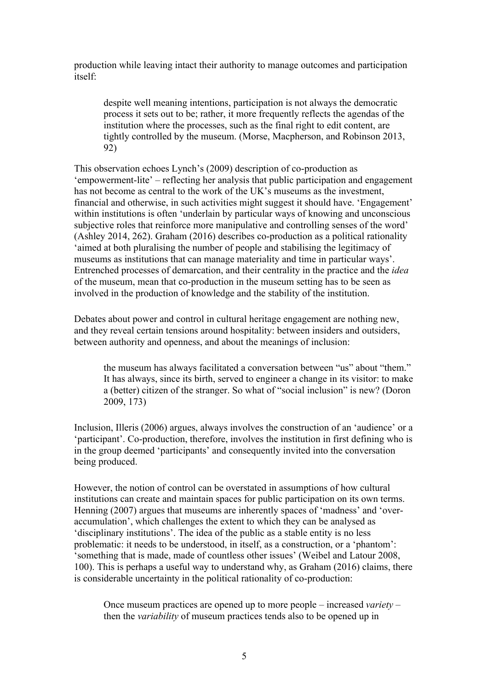production while leaving intact their authority to manage outcomes and participation itself:

despite well meaning intentions, participation is not always the democratic process it sets out to be; rather, it more frequently reflects the agendas of the institution where the processes, such as the final right to edit content, are tightly controlled by the museum. (Morse, Macpherson, and Robinson 2013, 92)

This observation echoes Lynch's (2009) description of co-production as 'empowerment-lite' – reflecting her analysis that public participation and engagement has not become as central to the work of the UK's museums as the investment, financial and otherwise, in such activities might suggest it should have. 'Engagement' within institutions is often 'underlain by particular ways of knowing and unconscious subjective roles that reinforce more manipulative and controlling senses of the word' (Ashley 2014, 262). Graham (2016) describes co-production as a political rationality 'aimed at both pluralising the number of people and stabilising the legitimacy of museums as institutions that can manage materiality and time in particular ways'. Entrenched processes of demarcation, and their centrality in the practice and the *idea* of the museum, mean that co-production in the museum setting has to be seen as involved in the production of knowledge and the stability of the institution.

Debates about power and control in cultural heritage engagement are nothing new, and they reveal certain tensions around hospitality: between insiders and outsiders, between authority and openness, and about the meanings of inclusion:

the museum has always facilitated a conversation between "us" about "them." It has always, since its birth, served to engineer a change in its visitor: to make a (better) citizen of the stranger. So what of "social inclusion" is new? (Doron 2009, 173)

Inclusion, Illeris (2006) argues, always involves the construction of an 'audience' or a 'participant'. Co-production, therefore, involves the institution in first defining who is in the group deemed 'participants' and consequently invited into the conversation being produced.

However, the notion of control can be overstated in assumptions of how cultural institutions can create and maintain spaces for public participation on its own terms. Henning (2007) argues that museums are inherently spaces of 'madness' and 'overaccumulation', which challenges the extent to which they can be analysed as 'disciplinary institutions'. The idea of the public as a stable entity is no less problematic: it needs to be understood, in itself, as a construction, or a 'phantom': 'something that is made, made of countless other issues' (Weibel and Latour 2008, 100). This is perhaps a useful way to understand why, as Graham (2016) claims, there is considerable uncertainty in the political rationality of co-production:

Once museum practices are opened up to more people – increased *variety* – then the *variability* of museum practices tends also to be opened up in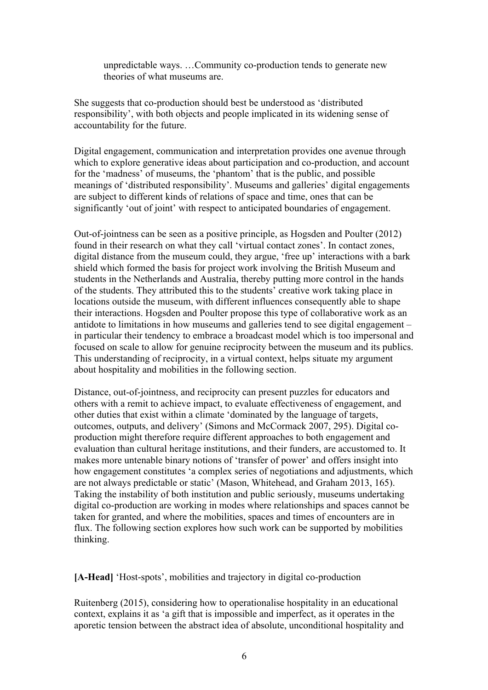unpredictable ways. …Community co-production tends to generate new theories of what museums are.

She suggests that co-production should best be understood as 'distributed responsibility', with both objects and people implicated in its widening sense of accountability for the future.

Digital engagement, communication and interpretation provides one avenue through which to explore generative ideas about participation and co-production, and account for the 'madness' of museums, the 'phantom' that is the public, and possible meanings of 'distributed responsibility'. Museums and galleries' digital engagements are subject to different kinds of relations of space and time, ones that can be significantly 'out of joint' with respect to anticipated boundaries of engagement.

Out-of-jointness can be seen as a positive principle, as Hogsden and Poulter (2012) found in their research on what they call 'virtual contact zones'. In contact zones, digital distance from the museum could, they argue, 'free up' interactions with a bark shield which formed the basis for project work involving the British Museum and students in the Netherlands and Australia, thereby putting more control in the hands of the students. They attributed this to the students' creative work taking place in locations outside the museum, with different influences consequently able to shape their interactions. Hogsden and Poulter propose this type of collaborative work as an antidote to limitations in how museums and galleries tend to see digital engagement – in particular their tendency to embrace a broadcast model which is too impersonal and focused on scale to allow for genuine reciprocity between the museum and its publics. This understanding of reciprocity, in a virtual context, helps situate my argument about hospitality and mobilities in the following section.

Distance, out-of-jointness, and reciprocity can present puzzles for educators and others with a remit to achieve impact, to evaluate effectiveness of engagement, and other duties that exist within a climate 'dominated by the language of targets, outcomes, outputs, and delivery' (Simons and McCormack 2007, 295). Digital coproduction might therefore require different approaches to both engagement and evaluation than cultural heritage institutions, and their funders, are accustomed to. It makes more untenable binary notions of 'transfer of power' and offers insight into how engagement constitutes 'a complex series of negotiations and adjustments, which are not always predictable or static' (Mason, Whitehead, and Graham 2013, 165). Taking the instability of both institution and public seriously, museums undertaking digital co-production are working in modes where relationships and spaces cannot be taken for granted, and where the mobilities, spaces and times of encounters are in flux. The following section explores how such work can be supported by mobilities thinking.

**[A-Head]** 'Host-spots', mobilities and trajectory in digital co-production

Ruitenberg (2015), considering how to operationalise hospitality in an educational context, explains it as 'a gift that is impossible and imperfect, as it operates in the aporetic tension between the abstract idea of absolute, unconditional hospitality and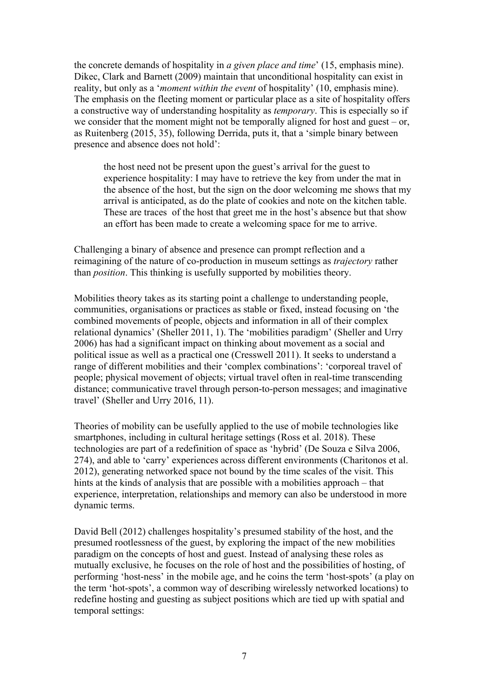the concrete demands of hospitality in *a given place and time*' (15, emphasis mine). Dikec, Clark and Barnett (2009) maintain that unconditional hospitality can exist in reality, but only as a '*moment within the event* of hospitality' (10, emphasis mine). The emphasis on the fleeting moment or particular place as a site of hospitality offers a constructive way of understanding hospitality as *temporary*. This is especially so if we consider that the moment might not be temporally aligned for host and guest – or, as Ruitenberg (2015, 35), following Derrida, puts it, that a 'simple binary between presence and absence does not hold':

the host need not be present upon the guest's arrival for the guest to experience hospitality: I may have to retrieve the key from under the mat in the absence of the host, but the sign on the door welcoming me shows that my arrival is anticipated, as do the plate of cookies and note on the kitchen table. These are traces of the host that greet me in the host's absence but that show an effort has been made to create a welcoming space for me to arrive.

Challenging a binary of absence and presence can prompt reflection and a reimagining of the nature of co-production in museum settings as *trajectory* rather than *position*. This thinking is usefully supported by mobilities theory.

Mobilities theory takes as its starting point a challenge to understanding people, communities, organisations or practices as stable or fixed, instead focusing on 'the combined movements of people, objects and information in all of their complex relational dynamics' (Sheller 2011, 1). The 'mobilities paradigm' (Sheller and Urry 2006) has had a significant impact on thinking about movement as a social and political issue as well as a practical one (Cresswell 2011). It seeks to understand a range of different mobilities and their 'complex combinations': 'corporeal travel of people; physical movement of objects; virtual travel often in real-time transcending distance; communicative travel through person-to-person messages; and imaginative travel' (Sheller and Urry 2016, 11).

Theories of mobility can be usefully applied to the use of mobile technologies like smartphones, including in cultural heritage settings (Ross et al. 2018). These technologies are part of a redefinition of space as 'hybrid' (De Souza e Silva 2006, 274), and able to 'carry' experiences across different environments (Charitonos et al. 2012), generating networked space not bound by the time scales of the visit. This hints at the kinds of analysis that are possible with a mobilities approach – that experience, interpretation, relationships and memory can also be understood in more dynamic terms.

David Bell (2012) challenges hospitality's presumed stability of the host, and the presumed rootlessness of the guest, by exploring the impact of the new mobilities paradigm on the concepts of host and guest. Instead of analysing these roles as mutually exclusive, he focuses on the role of host and the possibilities of hosting, of performing 'host-ness' in the mobile age, and he coins the term 'host-spots' (a play on the term 'hot-spots', a common way of describing wirelessly networked locations) to redefine hosting and guesting as subject positions which are tied up with spatial and temporal settings: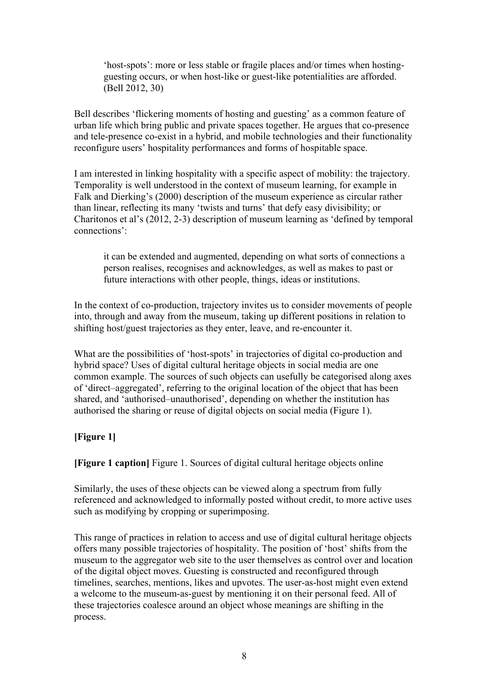'host-spots': more or less stable or fragile places and/or times when hostingguesting occurs, or when host-like or guest-like potentialities are afforded. (Bell 2012, 30)

Bell describes 'flickering moments of hosting and guesting' as a common feature of urban life which bring public and private spaces together. He argues that co-presence and tele-presence co-exist in a hybrid, and mobile technologies and their functionality reconfigure users' hospitality performances and forms of hospitable space.

I am interested in linking hospitality with a specific aspect of mobility: the trajectory. Temporality is well understood in the context of museum learning, for example in Falk and Dierking's (2000) description of the museum experience as circular rather than linear, reflecting its many 'twists and turns' that defy easy divisibility; or Charitonos et al's (2012, 2-3) description of museum learning as 'defined by temporal connections':

it can be extended and augmented, depending on what sorts of connections a person realises, recognises and acknowledges, as well as makes to past or future interactions with other people, things, ideas or institutions.

In the context of co-production, trajectory invites us to consider movements of people into, through and away from the museum, taking up different positions in relation to shifting host/guest trajectories as they enter, leave, and re-encounter it.

What are the possibilities of 'host-spots' in trajectories of digital co-production and hybrid space? Uses of digital cultural heritage objects in social media are one common example. The sources of such objects can usefully be categorised along axes of 'direct–aggregated', referring to the original location of the object that has been shared, and 'authorised–unauthorised', depending on whether the institution has authorised the sharing or reuse of digital objects on social media (Figure 1).

#### **[Figure 1]**

**[Figure 1 caption]** Figure 1. Sources of digital cultural heritage objects online

Similarly, the uses of these objects can be viewed along a spectrum from fully referenced and acknowledged to informally posted without credit, to more active uses such as modifying by cropping or superimposing.

This range of practices in relation to access and use of digital cultural heritage objects offers many possible trajectories of hospitality. The position of 'host' shifts from the museum to the aggregator web site to the user themselves as control over and location of the digital object moves. Guesting is constructed and reconfigured through timelines, searches, mentions, likes and upvotes. The user-as-host might even extend a welcome to the museum-as-guest by mentioning it on their personal feed. All of these trajectories coalesce around an object whose meanings are shifting in the process.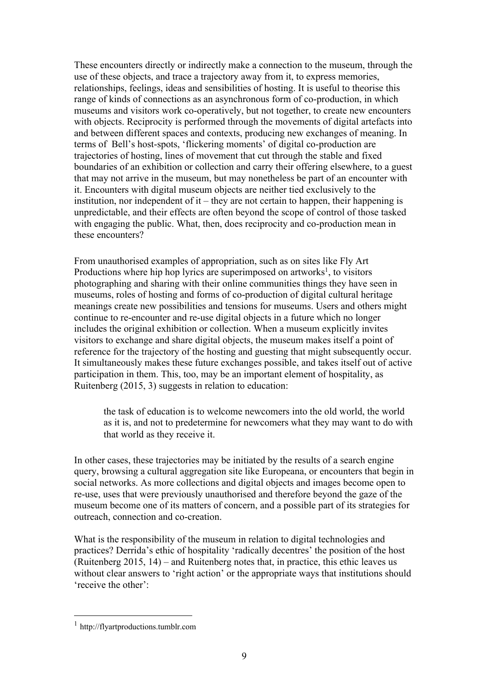These encounters directly or indirectly make a connection to the museum, through the use of these objects, and trace a trajectory away from it, to express memories, relationships, feelings, ideas and sensibilities of hosting. It is useful to theorise this range of kinds of connections as an asynchronous form of co-production, in which museums and visitors work co-operatively, but not together, to create new encounters with objects. Reciprocity is performed through the movements of digital artefacts into and between different spaces and contexts, producing new exchanges of meaning. In terms of Bell's host-spots, 'flickering moments' of digital co-production are trajectories of hosting, lines of movement that cut through the stable and fixed boundaries of an exhibition or collection and carry their offering elsewhere, to a guest that may not arrive in the museum, but may nonetheless be part of an encounter with it. Encounters with digital museum objects are neither tied exclusively to the institution, nor independent of it – they are not certain to happen, their happening is unpredictable, and their effects are often beyond the scope of control of those tasked with engaging the public. What, then, does reciprocity and co-production mean in these encounters?

From unauthorised examples of appropriation, such as on sites like Fly Art Productions where hip hop lyrics are superimposed on artworks<sup>1</sup>, to visitors photographing and sharing with their online communities things they have seen in museums, roles of hosting and forms of co-production of digital cultural heritage meanings create new possibilities and tensions for museums. Users and others might continue to re-encounter and re-use digital objects in a future which no longer includes the original exhibition or collection. When a museum explicitly invites visitors to exchange and share digital objects, the museum makes itself a point of reference for the trajectory of the hosting and guesting that might subsequently occur. It simultaneously makes these future exchanges possible, and takes itself out of active participation in them. This, too, may be an important element of hospitality, as Ruitenberg (2015, 3) suggests in relation to education:

the task of education is to welcome newcomers into the old world, the world as it is, and not to predetermine for newcomers what they may want to do with that world as they receive it.

In other cases, these trajectories may be initiated by the results of a search engine query, browsing a cultural aggregation site like Europeana, or encounters that begin in social networks. As more collections and digital objects and images become open to re-use, uses that were previously unauthorised and therefore beyond the gaze of the museum become one of its matters of concern, and a possible part of its strategies for outreach, connection and co-creation.

What is the responsibility of the museum in relation to digital technologies and practices? Derrida's ethic of hospitality 'radically decentres' the position of the host (Ruitenberg 2015, 14) – and Ruitenberg notes that, in practice, this ethic leaves us without clear answers to 'right action' or the appropriate ways that institutions should 'receive the other':

 <sup>1</sup> http://flyartproductions.tumblr.com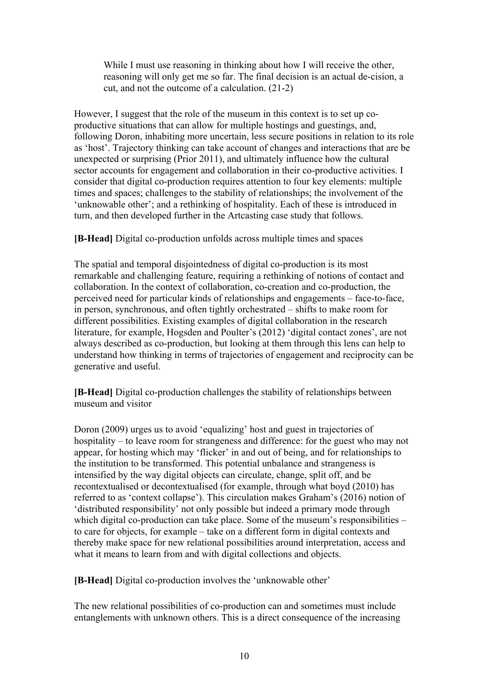While I must use reasoning in thinking about how I will receive the other, reasoning will only get me so far. The final decision is an actual de-cision, a cut, and not the outcome of a calculation. (21-2)

However, I suggest that the role of the museum in this context is to set up coproductive situations that can allow for multiple hostings and guestings, and, following Doron, inhabiting more uncertain, less secure positions in relation to its role as 'host'. Trajectory thinking can take account of changes and interactions that are be unexpected or surprising (Prior 2011), and ultimately influence how the cultural sector accounts for engagement and collaboration in their co-productive activities. I consider that digital co-production requires attention to four key elements: multiple times and spaces; challenges to the stability of relationships; the involvement of the 'unknowable other'; and a rethinking of hospitality. Each of these is introduced in turn, and then developed further in the Artcasting case study that follows.

**[B-Head]** Digital co-production unfolds across multiple times and spaces

The spatial and temporal disjointedness of digital co-production is its most remarkable and challenging feature, requiring a rethinking of notions of contact and collaboration. In the context of collaboration, co-creation and co-production, the perceived need for particular kinds of relationships and engagements – face-to-face, in person, synchronous, and often tightly orchestrated – shifts to make room for different possibilities. Existing examples of digital collaboration in the research literature, for example, Hogsden and Poulter's (2012) 'digital contact zones', are not always described as co-production, but looking at them through this lens can help to understand how thinking in terms of trajectories of engagement and reciprocity can be generative and useful.

**[B-Head]** Digital co-production challenges the stability of relationships between museum and visitor

Doron (2009) urges us to avoid 'equalizing' host and guest in trajectories of hospitality – to leave room for strangeness and difference: for the guest who may not appear, for hosting which may 'flicker' in and out of being, and for relationships to the institution to be transformed. This potential unbalance and strangeness is intensified by the way digital objects can circulate, change, split off, and be recontextualised or decontextualised (for example, through what boyd (2010) has referred to as 'context collapse'). This circulation makes Graham's (2016) notion of 'distributed responsibility' not only possible but indeed a primary mode through which digital co-production can take place. Some of the museum's responsibilities – to care for objects, for example – take on a different form in digital contexts and thereby make space for new relational possibilities around interpretation, access and what it means to learn from and with digital collections and objects.

**[B-Head]** Digital co-production involves the 'unknowable other'

The new relational possibilities of co-production can and sometimes must include entanglements with unknown others. This is a direct consequence of the increasing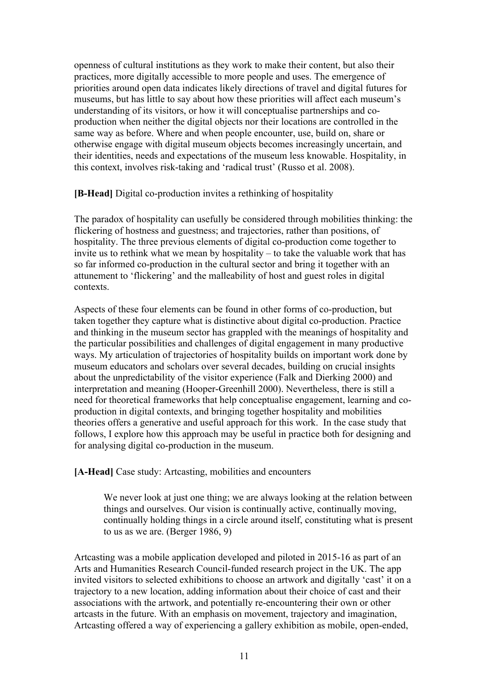openness of cultural institutions as they work to make their content, but also their practices, more digitally accessible to more people and uses. The emergence of priorities around open data indicates likely directions of travel and digital futures for museums, but has little to say about how these priorities will affect each museum's understanding of its visitors, or how it will conceptualise partnerships and coproduction when neither the digital objects nor their locations are controlled in the same way as before. Where and when people encounter, use, build on, share or otherwise engage with digital museum objects becomes increasingly uncertain, and their identities, needs and expectations of the museum less knowable. Hospitality, in this context, involves risk-taking and 'radical trust' (Russo et al. 2008).

**[B-Head]** Digital co-production invites a rethinking of hospitality

The paradox of hospitality can usefully be considered through mobilities thinking: the flickering of hostness and guestness; and trajectories, rather than positions, of hospitality. The three previous elements of digital co-production come together to invite us to rethink what we mean by hospitality – to take the valuable work that has so far informed co-production in the cultural sector and bring it together with an attunement to 'flickering' and the malleability of host and guest roles in digital contexts.

Aspects of these four elements can be found in other forms of co-production, but taken together they capture what is distinctive about digital co-production. Practice and thinking in the museum sector has grappled with the meanings of hospitality and the particular possibilities and challenges of digital engagement in many productive ways. My articulation of trajectories of hospitality builds on important work done by museum educators and scholars over several decades, building on crucial insights about the unpredictability of the visitor experience (Falk and Dierking 2000) and interpretation and meaning (Hooper-Greenhill 2000). Nevertheless, there is still a need for theoretical frameworks that help conceptualise engagement, learning and coproduction in digital contexts, and bringing together hospitality and mobilities theories offers a generative and useful approach for this work. In the case study that follows, I explore how this approach may be useful in practice both for designing and for analysing digital co-production in the museum.

**[A-Head]** Case study: Artcasting, mobilities and encounters

We never look at just one thing; we are always looking at the relation between things and ourselves. Our vision is continually active, continually moving, continually holding things in a circle around itself, constituting what is present to us as we are. (Berger 1986, 9)

Artcasting was a mobile application developed and piloted in 2015-16 as part of an Arts and Humanities Research Council-funded research project in the UK. The app invited visitors to selected exhibitions to choose an artwork and digitally 'cast' it on a trajectory to a new location, adding information about their choice of cast and their associations with the artwork, and potentially re-encountering their own or other artcasts in the future. With an emphasis on movement, trajectory and imagination, Artcasting offered a way of experiencing a gallery exhibition as mobile, open-ended,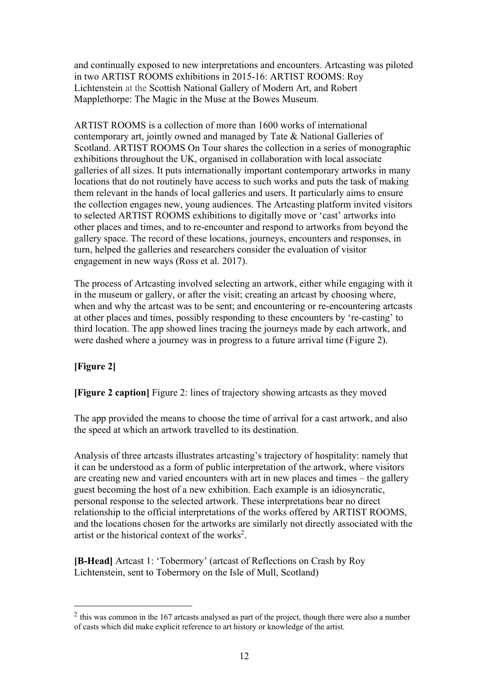and continually exposed to new interpretations and encounters. Artcasting was piloted in two ARTIST ROOMS exhibitions in 2015-16: ARTIST ROOMS: Roy Lichtenstein at the Scottish National Gallery of Modern Art, and Robert Mapplethorpe: The Magic in the Muse at the Bowes Museum.

ARTIST ROOMS is a collection of more than 1600 works of international contemporary art, jointly owned and managed by Tate & National Galleries of Scotland. ARTIST ROOMS On Tour shares the collection in a series of monographic exhibitions throughout the UK, organised in collaboration with local associate galleries of all sizes. It puts internationally important contemporary artworks in many locations that do not routinely have access to such works and puts the task of making them relevant in the hands of local galleries and users. It particularly aims to ensure the collection engages new, young audiences. The Artcasting platform invited visitors to selected ARTIST ROOMS exhibitions to digitally move or 'cast' artworks into other places and times, and to re-encounter and respond to artworks from beyond the gallery space. The record of these locations, journeys, encounters and responses, in turn, helped the galleries and researchers consider the evaluation of visitor engagement in new ways (Ross et al. 2017).

The process of Artcasting involved selecting an artwork, either while engaging with it in the museum or gallery, or after the visit; creating an artcast by choosing where, when and why the artcast was to be sent; and encountering or re-encountering artcasts at other places and times, possibly responding to these encounters by 're-casting' to third location. The app showed lines tracing the journeys made by each artwork, and were dashed where a journey was in progress to a future arrival time (Figure 2).

## **[Figure 2]**

**[Figure 2 caption]** Figure 2: lines of trajectory showing artcasts as they moved

The app provided the means to choose the time of arrival for a cast artwork, and also the speed at which an artwork travelled to its destination.

Analysis of three artcasts illustrates artcasting's trajectory of hospitality: namely that it can be understood as a form of public interpretation of the artwork, where visitors are creating new and varied encounters with art in new places and times – the gallery guest becoming the host of a new exhibition. Each example is an idiosyncratic, personal response to the selected artwork. These interpretations bear no direct relationship to the official interpretations of the works offered by ARTIST ROOMS, and the locations chosen for the artworks are similarly not directly associated with the artist or the historical context of the works2.

**[B-Head]** Artcast 1: 'Tobermory' (artcast of Reflections on Crash by Roy Lichtenstein, sent to Tobermory on the Isle of Mull, Scotland)

 $2$  this was common in the 167 artcasts analysed as part of the project, though there were also a number of casts which did make explicit reference to art history or knowledge of the artist.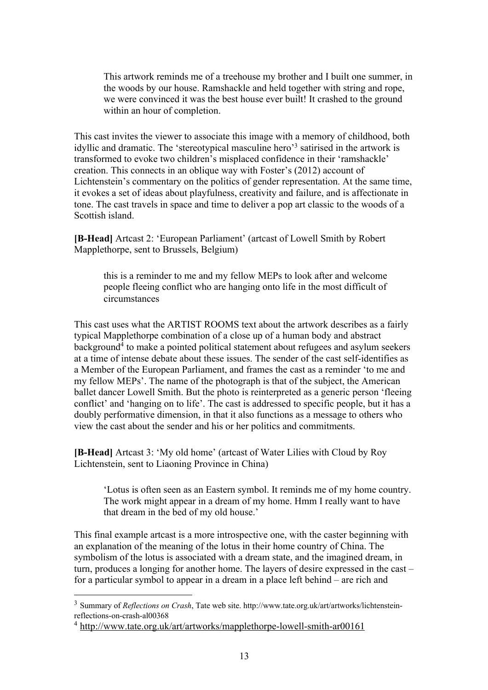This artwork reminds me of a treehouse my brother and I built one summer, in the woods by our house. Ramshackle and held together with string and rope, we were convinced it was the best house ever built! It crashed to the ground within an hour of completion.

This cast invites the viewer to associate this image with a memory of childhood, both idyllic and dramatic. The 'stereotypical masculine hero'<sup>3</sup> satirised in the artwork is transformed to evoke two children's misplaced confidence in their 'ramshackle' creation. This connects in an oblique way with Foster's (2012) account of Lichtenstein's commentary on the politics of gender representation. At the same time, it evokes a set of ideas about playfulness, creativity and failure, and is affectionate in tone. The cast travels in space and time to deliver a pop art classic to the woods of a Scottish island.

**[B-Head]** Artcast 2: 'European Parliament' (artcast of Lowell Smith by Robert Mapplethorpe, sent to Brussels, Belgium)

this is a reminder to me and my fellow MEPs to look after and welcome people fleeing conflict who are hanging onto life in the most difficult of circumstances

This cast uses what the ARTIST ROOMS text about the artwork describes as a fairly typical Mapplethorpe combination of a close up of a human body and abstract background4 to make a pointed political statement about refugees and asylum seekers at a time of intense debate about these issues. The sender of the cast self-identifies as a Member of the European Parliament, and frames the cast as a reminder 'to me and my fellow MEPs'. The name of the photograph is that of the subject, the American ballet dancer Lowell Smith. But the photo is reinterpreted as a generic person 'fleeing conflict' and 'hanging on to life'. The cast is addressed to specific people, but it has a doubly performative dimension, in that it also functions as a message to others who view the cast about the sender and his or her politics and commitments.

**[B-Head]** Artcast 3: 'My old home' (artcast of Water Lilies with Cloud by Roy Lichtenstein, sent to Liaoning Province in China)

'Lotus is often seen as an Eastern symbol. It reminds me of my home country. The work might appear in a dream of my home. Hmm I really want to have that dream in the bed of my old house.'

This final example artcast is a more introspective one, with the caster beginning with an explanation of the meaning of the lotus in their home country of China. The symbolism of the lotus is associated with a dream state, and the imagined dream, in turn, produces a longing for another home. The layers of desire expressed in the cast – for a particular symbol to appear in a dream in a place left behind – are rich and

 <sup>3</sup> Summary of *Reflections on Crash*, Tate web site. http://www.tate.org.uk/art/artworks/lichtensteinreflections-on-crash-al00368

<sup>4</sup> http://www.tate.org.uk/art/artworks/mapplethorpe-lowell-smith-ar00161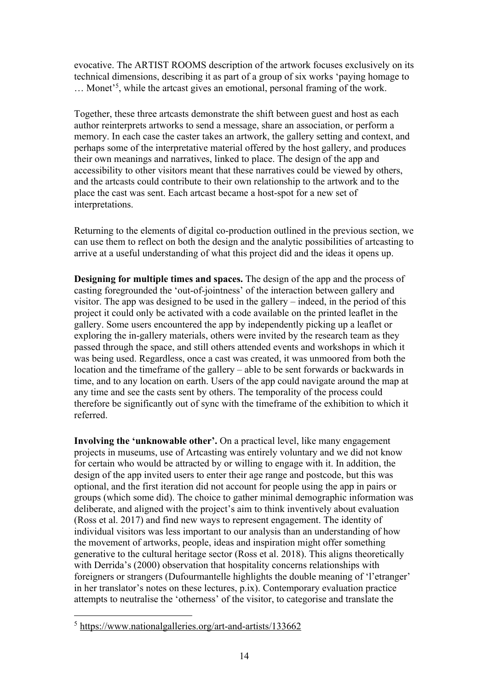evocative. The ARTIST ROOMS description of the artwork focuses exclusively on its technical dimensions, describing it as part of a group of six works 'paying homage to ... Monet<sup>15</sup>, while the artcast gives an emotional, personal framing of the work.

Together, these three artcasts demonstrate the shift between guest and host as each author reinterprets artworks to send a message, share an association, or perform a memory. In each case the caster takes an artwork, the gallery setting and context, and perhaps some of the interpretative material offered by the host gallery, and produces their own meanings and narratives, linked to place. The design of the app and accessibility to other visitors meant that these narratives could be viewed by others, and the artcasts could contribute to their own relationship to the artwork and to the place the cast was sent. Each artcast became a host-spot for a new set of interpretations.

Returning to the elements of digital co-production outlined in the previous section, we can use them to reflect on both the design and the analytic possibilities of artcasting to arrive at a useful understanding of what this project did and the ideas it opens up.

**Designing for multiple times and spaces.** The design of the app and the process of casting foregrounded the 'out-of-jointness' of the interaction between gallery and visitor. The app was designed to be used in the gallery – indeed, in the period of this project it could only be activated with a code available on the printed leaflet in the gallery. Some users encountered the app by independently picking up a leaflet or exploring the in-gallery materials, others were invited by the research team as they passed through the space, and still others attended events and workshops in which it was being used. Regardless, once a cast was created, it was unmoored from both the location and the timeframe of the gallery – able to be sent forwards or backwards in time, and to any location on earth. Users of the app could navigate around the map at any time and see the casts sent by others. The temporality of the process could therefore be significantly out of sync with the timeframe of the exhibition to which it referred.

**Involving the 'unknowable other'.** On a practical level, like many engagement projects in museums, use of Artcasting was entirely voluntary and we did not know for certain who would be attracted by or willing to engage with it. In addition, the design of the app invited users to enter their age range and postcode, but this was optional, and the first iteration did not account for people using the app in pairs or groups (which some did). The choice to gather minimal demographic information was deliberate, and aligned with the project's aim to think inventively about evaluation (Ross et al. 2017) and find new ways to represent engagement. The identity of individual visitors was less important to our analysis than an understanding of how the movement of artworks, people, ideas and inspiration might offer something generative to the cultural heritage sector (Ross et al. 2018). This aligns theoretically with Derrida's (2000) observation that hospitality concerns relationships with foreigners or strangers (Dufourmantelle highlights the double meaning of 'l'etranger' in her translator's notes on these lectures, p.ix). Contemporary evaluation practice attempts to neutralise the 'otherness' of the visitor, to categorise and translate the

 <sup>5</sup> https://www.nationalgalleries.org/art-and-artists/133662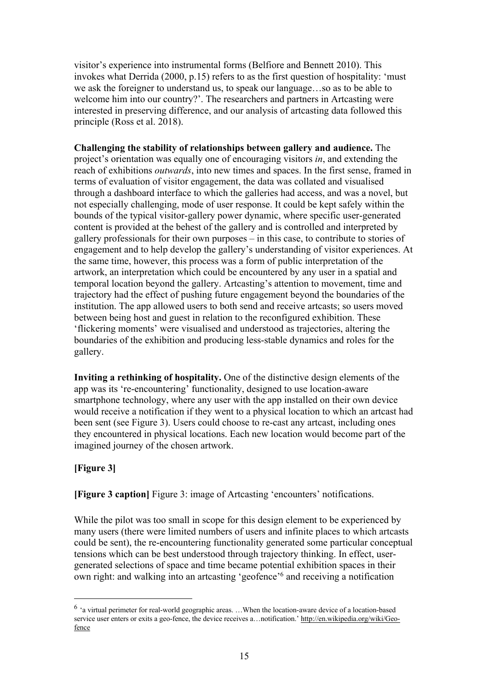visitor's experience into instrumental forms (Belfiore and Bennett 2010). This invokes what Derrida (2000, p.15) refers to as the first question of hospitality: 'must we ask the foreigner to understand us, to speak our language…so as to be able to welcome him into our country?'. The researchers and partners in Artcasting were interested in preserving difference, and our analysis of artcasting data followed this principle (Ross et al. 2018).

**Challenging the stability of relationships between gallery and audience.** The project's orientation was equally one of encouraging visitors *in*, and extending the reach of exhibitions *outwards*, into new times and spaces. In the first sense, framed in terms of evaluation of visitor engagement, the data was collated and visualised through a dashboard interface to which the galleries had access, and was a novel, but not especially challenging, mode of user response. It could be kept safely within the bounds of the typical visitor-gallery power dynamic, where specific user-generated content is provided at the behest of the gallery and is controlled and interpreted by gallery professionals for their own purposes – in this case, to contribute to stories of engagement and to help develop the gallery's understanding of visitor experiences. At the same time, however, this process was a form of public interpretation of the artwork, an interpretation which could be encountered by any user in a spatial and temporal location beyond the gallery. Artcasting's attention to movement, time and trajectory had the effect of pushing future engagement beyond the boundaries of the institution. The app allowed users to both send and receive artcasts; so users moved between being host and guest in relation to the reconfigured exhibition. These 'flickering moments' were visualised and understood as trajectories, altering the boundaries of the exhibition and producing less-stable dynamics and roles for the gallery.

**Inviting a rethinking of hospitality.** One of the distinctive design elements of the app was its 're-encountering' functionality, designed to use location-aware smartphone technology, where any user with the app installed on their own device would receive a notification if they went to a physical location to which an artcast had been sent (see Figure 3). Users could choose to re-cast any artcast, including ones they encountered in physical locations. Each new location would become part of the imagined journey of the chosen artwork.

## **[Figure 3]**

**[Figure 3 caption]** Figure 3: image of Artcasting 'encounters' notifications.

While the pilot was too small in scope for this design element to be experienced by many users (there were limited numbers of users and infinite places to which artcasts could be sent), the re-encountering functionality generated some particular conceptual tensions which can be best understood through trajectory thinking. In effect, usergenerated selections of space and time became potential exhibition spaces in their own right: and walking into an artcasting 'geofence'6 and receiving a notification

 <sup>6</sup> 'a virtual perimeter for real-world geographic areas. …When the location-aware device of a location-based service user enters or exits a geo-fence, the device receives a…notification.' http://en.wikipedia.org/wiki/Geofence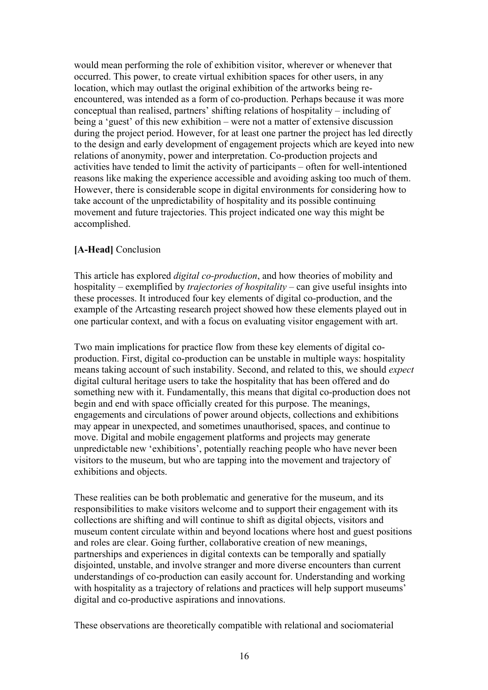would mean performing the role of exhibition visitor, wherever or whenever that occurred. This power, to create virtual exhibition spaces for other users, in any location, which may outlast the original exhibition of the artworks being reencountered, was intended as a form of co-production. Perhaps because it was more conceptual than realised, partners' shifting relations of hospitality – including of being a 'guest' of this new exhibition – were not a matter of extensive discussion during the project period. However, for at least one partner the project has led directly to the design and early development of engagement projects which are keyed into new relations of anonymity, power and interpretation. Co-production projects and activities have tended to limit the activity of participants – often for well-intentioned reasons like making the experience accessible and avoiding asking too much of them. However, there is considerable scope in digital environments for considering how to take account of the unpredictability of hospitality and its possible continuing movement and future trajectories. This project indicated one way this might be accomplished.

### **[A-Head]** Conclusion

This article has explored *digital co-production*, and how theories of mobility and hospitality – exemplified by *trajectories of hospitality* – can give useful insights into these processes. It introduced four key elements of digital co-production, and the example of the Artcasting research project showed how these elements played out in one particular context, and with a focus on evaluating visitor engagement with art.

Two main implications for practice flow from these key elements of digital coproduction. First, digital co-production can be unstable in multiple ways: hospitality means taking account of such instability. Second, and related to this, we should *expect*  digital cultural heritage users to take the hospitality that has been offered and do something new with it. Fundamentally, this means that digital co-production does not begin and end with space officially created for this purpose. The meanings, engagements and circulations of power around objects, collections and exhibitions may appear in unexpected, and sometimes unauthorised, spaces, and continue to move. Digital and mobile engagement platforms and projects may generate unpredictable new 'exhibitions', potentially reaching people who have never been visitors to the museum, but who are tapping into the movement and trajectory of exhibitions and objects.

These realities can be both problematic and generative for the museum, and its responsibilities to make visitors welcome and to support their engagement with its collections are shifting and will continue to shift as digital objects, visitors and museum content circulate within and beyond locations where host and guest positions and roles are clear. Going further, collaborative creation of new meanings, partnerships and experiences in digital contexts can be temporally and spatially disjointed, unstable, and involve stranger and more diverse encounters than current understandings of co-production can easily account for. Understanding and working with hospitality as a trajectory of relations and practices will help support museums' digital and co-productive aspirations and innovations.

These observations are theoretically compatible with relational and sociomaterial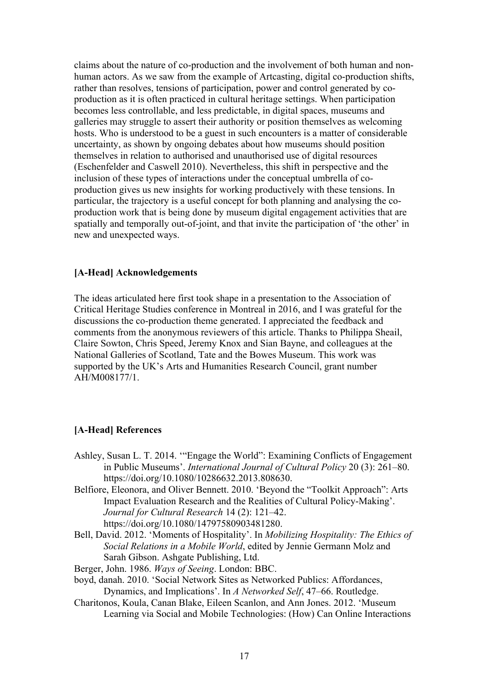claims about the nature of co-production and the involvement of both human and nonhuman actors. As we saw from the example of Artcasting, digital co-production shifts, rather than resolves, tensions of participation, power and control generated by coproduction as it is often practiced in cultural heritage settings. When participation becomes less controllable, and less predictable, in digital spaces, museums and galleries may struggle to assert their authority or position themselves as welcoming hosts. Who is understood to be a guest in such encounters is a matter of considerable uncertainty, as shown by ongoing debates about how museums should position themselves in relation to authorised and unauthorised use of digital resources (Eschenfelder and Caswell 2010). Nevertheless, this shift in perspective and the inclusion of these types of interactions under the conceptual umbrella of coproduction gives us new insights for working productively with these tensions. In particular, the trajectory is a useful concept for both planning and analysing the coproduction work that is being done by museum digital engagement activities that are spatially and temporally out-of-joint, and that invite the participation of 'the other' in new and unexpected ways.

#### **[A-Head] Acknowledgements**

The ideas articulated here first took shape in a presentation to the Association of Critical Heritage Studies conference in Montreal in 2016, and I was grateful for the discussions the co-production theme generated. I appreciated the feedback and comments from the anonymous reviewers of this article. Thanks to Philippa Sheail, Claire Sowton, Chris Speed, Jeremy Knox and Sian Bayne, and colleagues at the National Galleries of Scotland, Tate and the Bowes Museum. This work was supported by the UK's Arts and Humanities Research Council, grant number AH/M008177/1.

#### **[A-Head] References**

- Ashley, Susan L. T. 2014. '"Engage the World": Examining Conflicts of Engagement in Public Museums'. *International Journal of Cultural Policy* 20 (3): 261–80. https://doi.org/10.1080/10286632.2013.808630.
- Belfiore, Eleonora, and Oliver Bennett. 2010. 'Beyond the "Toolkit Approach": Arts Impact Evaluation Research and the Realities of Cultural Policy-Making'. *Journal for Cultural Research* 14 (2): 121–42. https://doi.org/10.1080/14797580903481280.
- Bell, David. 2012. 'Moments of Hospitality'. In *Mobilizing Hospitality: The Ethics of Social Relations in a Mobile World*, edited by Jennie Germann Molz and Sarah Gibson. Ashgate Publishing, Ltd.
- Berger, John. 1986. *Ways of Seeing*. London: BBC.
- boyd, danah. 2010. 'Social Network Sites as Networked Publics: Affordances, Dynamics, and Implications'. In *A Networked Self*, 47–66. Routledge.
- Charitonos, Koula, Canan Blake, Eileen Scanlon, and Ann Jones. 2012. 'Museum Learning via Social and Mobile Technologies: (How) Can Online Interactions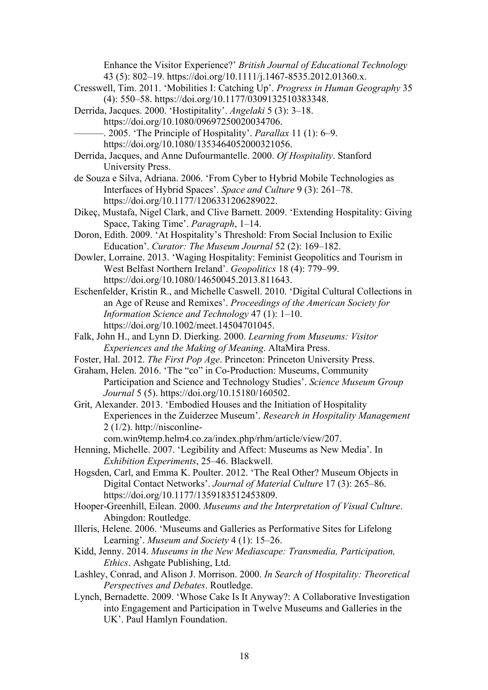Enhance the Visitor Experience?' *British Journal of Educational Technology* 43 (5): 802–19. https://doi.org/10.1111/j.1467-8535.2012.01360.x.

- Cresswell, Tim. 2011. 'Mobilities I: Catching Up'. *Progress in Human Geography* 35 (4): 550–58. https://doi.org/10.1177/0309132510383348.
- Derrida, Jacques. 2000. 'Hostipitality'. *Angelaki* 5 (3): 3–18. https://doi.org/10.1080/09697250020034706.
	- ———. 2005. 'The Principle of Hospitality'. *Parallax* 11 (1): 6–9.
		- https://doi.org/10.1080/1353464052000321056.
- Derrida, Jacques, and Anne Dufourmantelle. 2000. *Of Hospitality*. Stanford University Press.
- de Souza e Silva, Adriana. 2006. 'From Cyber to Hybrid Mobile Technologies as Interfaces of Hybrid Spaces'. *Space and Culture* 9 (3): 261–78. https://doi.org/10.1177/1206331206289022.
- Dikeç, Mustafa, Nigel Clark, and Clive Barnett. 2009. 'Extending Hospitality: Giving Space, Taking Time'. *Paragraph*, 1–14.
- Doron, Edith. 2009. 'At Hospitality's Threshold: From Social Inclusion to Exilic Education'. *Curator: The Museum Journal* 52 (2): 169–182.
- Dowler, Lorraine. 2013. 'Waging Hospitality: Feminist Geopolitics and Tourism in West Belfast Northern Ireland'. *Geopolitics* 18 (4): 779–99. https://doi.org/10.1080/14650045.2013.811643.
- Eschenfelder, Kristin R., and Michelle Caswell. 2010. 'Digital Cultural Collections in an Age of Reuse and Remixes'. *Proceedings of the American Society for Information Science and Technology* 47 (1): 1–10. https://doi.org/10.1002/meet.14504701045.
- Falk, John H., and Lynn D. Dierking. 2000. *Learning from Museums: Visitor Experiences and the Making of Meaning*. AltaMira Press.
- Foster, Hal. 2012. *The First Pop Age*. Princeton: Princeton University Press.
- Graham, Helen. 2016. 'The "co" in Co-Production: Museums, Community Participation and Science and Technology Studies'. *Science Museum Group Journal* 5 (5). https://doi.org/10.15180/160502.
- Grit, Alexander. 2013. 'Embodied Houses and the Initiation of Hospitality Experiences in the Zuiderzee Museum'. *Research in Hospitality Management* 2 (1/2). http://nisconline-

com.win9temp.helm4.co.za/index.php/rhm/article/view/207.

- Henning, Michelle. 2007. 'Legibility and Affect: Museums as New Media'. In *Exhibition Experiments*, 25–46. Blackwell.
- Hogsden, Carl, and Emma K. Poulter. 2012. 'The Real Other? Museum Objects in Digital Contact Networks'. *Journal of Material Culture* 17 (3): 265–86. https://doi.org/10.1177/1359183512453809.
- Hooper-Greenhill, Eilean. 2000. *Museums and the Interpretation of Visual Culture*. Abingdon: Routledge.
- Illeris, Helene. 2006. 'Museums and Galleries as Performative Sites for Lifelong Learning'. *Museum and Society* 4 (1): 15–26.
- Kidd, Jenny. 2014. *Museums in the New Mediascape: Transmedia, Participation, Ethics*. Ashgate Publishing, Ltd.
- Lashley, Conrad, and Alison J. Morrison. 2000. *In Search of Hospitality: Theoretical Perspectives and Debates*. Routledge.
- Lynch, Bernadette. 2009. 'Whose Cake Is It Anyway?: A Collaborative Investigation into Engagement and Participation in Twelve Museums and Galleries in the UK'. Paul Hamlyn Foundation.